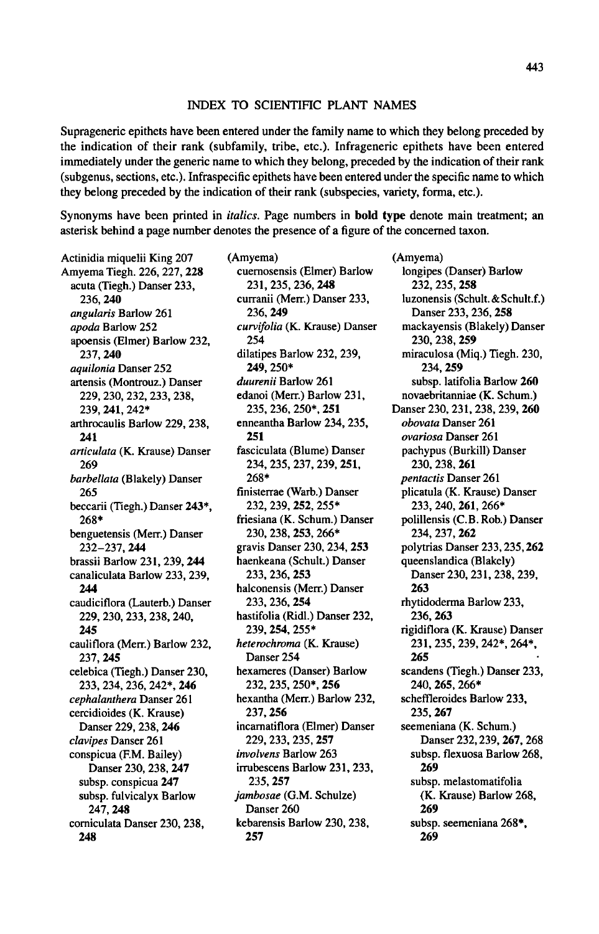## Index to scientific plant names

Suprageneric epithets have been entered under the family name to which they belong preceded by the indication of their rank (subfamily, tribe, etc.). Infrageneric epithets have been entered immediately under the generic name to which they belong, preceded by the indication of their rank (subgenus, sections, etc.). Infraspecific epithets have been entered under the specific name to which they belong preceded by the indication of their rank (subspecies, variety, forma, etc.).

Synonyms have been printed in *italics*. Page numbers in **bold type** denote main treatment; an asterisk behind <sup>a</sup> page number denotes the presence of a figure of the concerned taxon.

Actinidia miquelii King 207 Amyema Tiegh. 226, 227, 228 acuta (Tiegh.) Danser 233, 236, 240 angularis Barlow 261 apoda Barlow 252 apoensis (Elmer) Barlow 232, 237, 240 aquilonia Danser 252 artensis (Montrouz.) Danser 229, 230, 232, 233, 238, 239, 241.242\* arthrocaulis Barlow 229, 238, 241 articulata (K. Krause) Danser 269 barbellata (Blakely) Danser 265 beccarii (Tiegh.) Danser 243\*, 268\* benguetensis (Merr.) Danser 232-237, 244 brassii Barlow 231, 239, 244 canaliculata Barlow 233, 239, 244 caudiciflora (Lauterb.) Danser 229, 230, 233, 238, 240, 245 cauliflora (Merr.) Barlow 232, 237, 245 celebica (Tiegh.) Danser 230, 233, 234, 236, 242\*, 246 cephalanthera Danser 261 cercidioides (K. Krause) Danser 229, 238, 246 clavipes Danser 261 conspicua (F.M.Bailey) Danser 230, 238, 247 subsp. conspicua 247 subsp. fulvicalyx Barlow 247, 248 corniculata Danser 230, 238, 248

(Amyema) cuernosensis (Elmer) Barlow 231,235,236,248 curranii (Merr.) Danser 233, 236, 249 curvifolia (K. Krause) Danser 254 dilatipes Barlow 232, 239, 249, 250\* duurenii Barlow 261 edanoi (Merr.) Barlow 231, 235, 236, 250\*, 251 enneantha Barlow 234, 235, 251 fasciculata (Blume) Danser 234, 235, 237, 239, 251, 268\* finisterrae (Warb.) Danser 232, 239, 252, 255\* friesiana (K. Schum.) Danser 230, 238, 253, 266\* gravis Danser 230, 234, 253 haenkeana (Schult.) Danser 233, 236, 253 halconensis (Merr.) Danser 233, 236, 254 hastifolia (Ridl.) Danser 232, 239, 254, 255\* heterochroma (K. Krause) Danser 254 hexameres (Danser) Barlow 232, 235, 250\*, 256 hexantha (Merr.) Barlow 232, 237, 256 incarnatiflora (Elmer) Danser 229, 233, 235, 257 involvens Barlow 263 irrubescens Barlow 231, 233, 235,257 jambosae (G.M. Schulze) Danser 260 kebarensis Barlow 230, 238, 257

(Amyema) longipes (Danser) Barlow 232, 235, 258 luzonensis (Schult. & Schult.f.) Danser 233, 236, 258 mackayensis (Blakely) Danser 230, 238, 259 miraculosa (Miq.) Tiegh. 230, 234, 259 subsp. latifolia Barlow 260 novaebritanniae (K. Schum.) Danser 230, 231, 238, 239, 260 obovata Danser 261 ovariosa Danser 261 pachypus (Burkill) Danser 230, 238, 261 pentactis Danser 261 plicatula (K. Krause) Danser 233, 240, 261, 266\* polillensis (C.B. Rob.) Danser 234, 237, 262 polytrias Danser 233,235,262 queenslandica(Blakely) Danser 230, 231,238,239, 263 rhytidoderma Barlow 233, 236, 263 rigidiflora (K. Krause) Danser 231,235,239,242\*,264\*, 265 scandens (Tiegh.) Danser 233, 240, 265, 266\* scheffleroides Barlow 233, 235, 267 seemeniana (K. Schum.) Danser 232,239,267, 268 subsp. flexuosa Barlow 268, 269 subsp. melastomatifolia (K. Krause) Barlow 268, 269 subsp. seemeniana 268\*, 269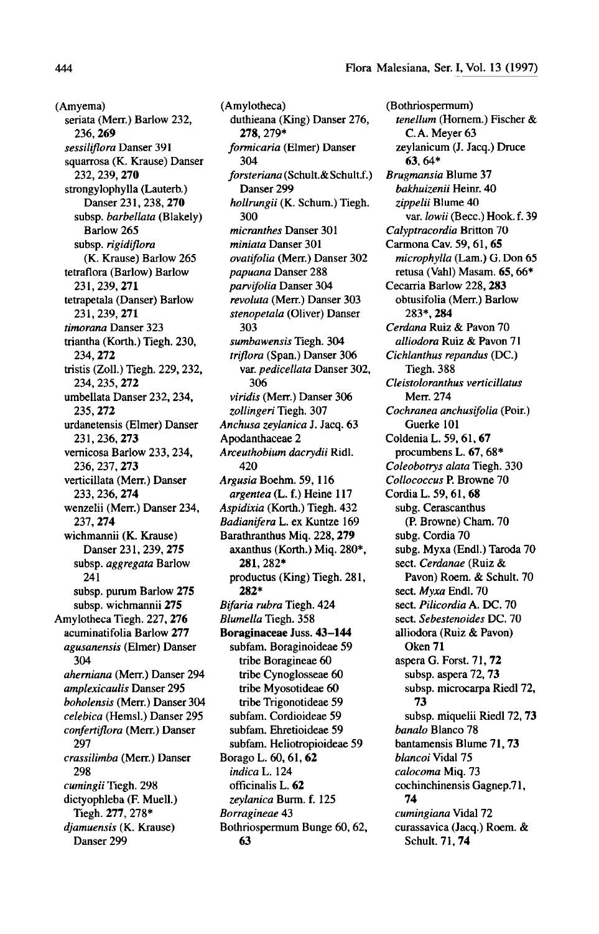(Amyema) seriata (Merr.) Barlow 232, 236, 269 sessiliflora Danser 391 squarrosa (K. Krause) Danser 232, 239, 270 strongylophylla (Lauterb.) Danser 231, 238, 270 subsp, barbellata (Blakely) Barlow 265 subsp. rigidiflora (K. Krause) Barlow 265 tetraflora (Barlow) Barlow 231,239,271 tetrapetala (Danser) Barlow 231,239, 271 timorana Danser 323 triantha (Korth.) Tiegh. 230, 234, 272 tristis (Zoll.) Tiegh. 229, 232, 234, 235, 272 umbellata Danser 232, 234, 235, 272 urdanetensis (Elmer) Danser 231,236, 273 vernicosa Barlow 233, 234, 236, 237, 273 verticillata (Merr.) Danser 233, 236, 274 wenzelii (Merr.) Danser 234, 237, 274 wichmannii (K. Krause) Danser 231,239, 275 subsp. aggregata Barlow 241 subsp. purum Barlow 275 subsp. wichmannii 275 Amylotheca Tiegh. 227, 276 acuminatifolia Barlow 277 agusanensis (Elmer) Danser 304 aherniana (Merr.) Danser 294 amplexicaulis Danser 295 boholensis (Merr.) Danser 304 celebica (Hemsl.) Danser 295 confertiflora (Merr.) Danser 297 crassilimba (Merr.) Danser 298 c*umingii* Tiegh. 298 dictyophleba (F. Muell.) Tiegh. 277, 278\* djamuensis (K. Krause) Danser 299

(Amylotheca) duthieana (King) Danser 276, 278, 279\* formicaria (Elmer) Danser 304 forsteriana (Schult.&Schult.f.) Danser 299 hollrungii (K. Schum.) Tiegh. 300 micranthes Danser 301 miniata Danser 301 ovatifolia (Merr.) Danser 302 papuana Danser 288 parvifolia Danser 304 revoluta (Merr.) Danser 303 stenopetala (Oliver) Danser 303 sumbawensis Tiegh. 304 triflora (Span.) Danser 306 var. pedicellata Danser 302, 306 viridis (Merr.) Danser 306 zollingeri Tiegh. 307 Anchusa zeylanica J. Jacq. 63 Apodanthaceae 2 Arceuthobium dacrydii Ridl. 420 Argusia Boehm. 59, 116 argentea (L. f.) Heine <sup>117</sup> Aspidixia (Korth.) Tiegh. 432 Badianifera L. ex Kuntze 169 Barathranthus Miq. 228, 279 axanthus (Korth.) Miq. 280\*, 281, 282\* productus (King) Tiegh. 281, 282\* Bifaria rubra Tiegh. 424 Blumella Tiegh. 358 Boraginaceae Juss. 43-144 subfam. Boraginoideae 59 tribe Boragineae 60 tribe Cynoglosseae 60 tribe Myosotideae 60 tribe Trigonotideae 59 subfam. Cordioideae 59 subfam. Ehretioideae 59 subfam. Heliotropioideae 59 Borago L. 60, 61, 62 indica L. 124 officinalis L. 62 zeylanica Burm. f. <sup>125</sup> Borragineae 43 Bothriospermum Bunge 60, 62, 63

(Bothriospermum) tenellum (Hornem.) Fischer & C.A. Meyer 63 zeylanicum (J. Jacq.) Druce 63, 64\* BrugmansiaBlume 37 bakhuizenii Heinr. 40 zippelii Blume 40 var. lowii (Becc.) Hook. f. 39 Calyptracordia Britton 70 Carmona Cav. 59, 61, 65 microphylla (Lam.) G. Don 65 retusa (Vahl) Masam. 65, 66\* Cecarria Barlow 228, 283 obtusifolia (Merr.) Barlow 283\*, 284 Cerdana Ruiz & Pavon 70 alliodora Ruiz & Pavon <sup>71</sup> Cichlanthus repandus (DC.) Tiegh. 388 Cleistoloranthus verticillatus Merr. 274 Cochranea anchusifolia (Poir.) Guerke 101 Coldenia L. 59, 61, 67 procumbens L. 67, 68\* Coleobotrys alata Tiegh. 330 Collococcus P. Browne 70 Cordia L. 59, 61, 68 subg. Cerascanthus (P. Browne) Cham. 70 subg. Cordia 70 subg. Myxa (Endl.) Taroda 70 sect. Cerdanae (Ruiz & Pavon) Roem. & Schult. <sup>70</sup> sect. Myxa Endl. 70 sect. Pilicordia A. DC. 70 sect. Sebestenoides DC. 70 alliodora (Ruiz & Pavon) Oken 71 aspera G. Forst. 71, 72 subsp. aspera 72, 73 subsp. microcarpa Riedl 72, 73 subsp. miquelii Riedl 72, 73 banalo Blanco 78 bantamensis Blume 71, 73 blancoi Vidal 75 calocoma Miq. 73 cochinchinensis Gagnep.71, 74 cumingiana Vidal <mark>72</mark> curassavica (Jacq.) Roem. & Schult. 71, 74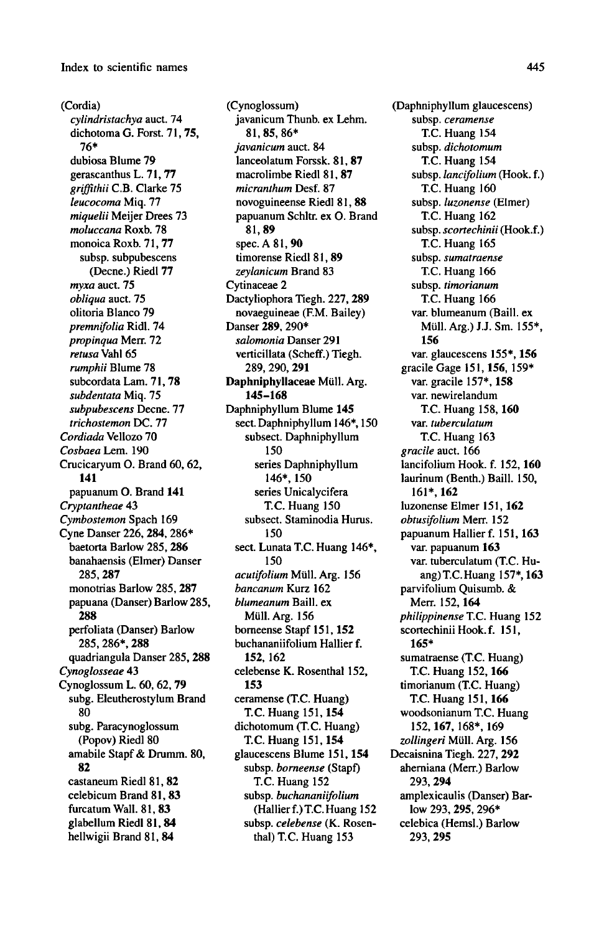(Cordia) cylindristachya auct. 74 dichotoma G. Forst. 71, 75, 76\* dubiosa Blume 79 gerascanthus L. 71, 77 griffithii C.B. Clarke 75 leucocoma Miq. 77 miquelii Meijer Drees 73 moluccana Roxb. 78 monoica Roxb. 71, 77 subsp. subpubescens (Decne.) Riedl 77 myxa auct. <sup>75</sup> obliqua auct. 75 olitoria Blanco 79 premnifolia Ridl. 74 propinqua Merr. 72 retusa Vahl 65 rumphii Blume 78 subcordata Lam. 71, 78 subdentata Miq. <sup>75</sup> subpubescens Decne. 77 trichostemon DC. 77 Cordiada Vellozo 70 Cosbaea Lem. 190 Crucicaryum O. Brand 60, 62, 141 papuanum O. Brand <sup>141</sup> Cryptantheae 43 Cymbostemon Spach 169 Cyne Danser 226, 284, 286\* baetorta Barlow 285, 286 banahaensis (Elmer) Danser 285, 287 monotrias Barlow 285, 287 papuana (Danser) Barlow 285, 288 perfoliata (Danser) Barlow 285, 286\*, 288 quadriangula Danser 285, 288 Cynoglosseae 43 Cynoglossum L. 60, 62, 79 subg. Eleutherostylum Brand 80 subg. Paracynoglossum (Popov) Riedl 80 amabile Stapf & Drumm. 80, 82 castaneum Riedl 81, 82 celebicum Brand 81, 83 furcatum Wall. 81, 83 glabellum Riedl 81, 84 hellwigii Brand 81. 84

(Cynoglossum) javanicum Thunb. ex Lehm. 81,85, 86\* javanicum auct. 84 lanceolatum Forssk. 81, 87 macrolimbe Riedl 81, 87 micranthum Desf. 87 novoguineense Riedl 81. 88 papuanum Schltr. ex O. Brand 81,89 spec. A 81, 90 timorense Riedl 81, 89 zeylanicum Brand 83 Cytinaceae 2 Dactyliophora Tiegh. 227, 289 novaeguineae (F.M. Bailey) Danser 289, 290\* salomonia Danser 291 verticillata (Scheff.) Tiegh. 289, 290, 291 Daphniphyllaceae Müll. Arg. 145-168 Daphniphyllum Blume <sup>145</sup> sect. Daphniphyllum 146\*, 150 subsect. Daphniphyllum 150 series Daphniphyllum 146\*, 150 series Unicalycifera T.C. Huang <sup>150</sup> subsect. Staminodia Hurus. 150 sect. Lunata T.C. Huang 146\*, 150 acutifolium Müll. Arg. 156 bancanum Kurz 162 blumeanum Baill. ex Müll. Arg. 156 borneense Stapf 151, 152 buchananiifolium Hallier f. 152, 162 celebense K. Rosenthal 152, 153 ceramense(T.C. Huang) T.C. Huang 151, 154 dichotomum (T.C. Huang) T.C. Huang 151,154 glaucescens Blume 151, 154 subsp. *borneense* (Stapf) T.C. Huang <sup>152</sup> subsp. buchananiifolium (Hallier f.) T.C. Huang 152 subsp. celebense (K. Rosen thal) T.C. Huang <sup>153</sup>

(Daphniphyllum glaucescens) subsp. ceramense T.C. Huang <sup>154</sup> subsp. dichotomum T.C. Huang <sup>154</sup> subsp. lancifolium (Hook, f.) T.C. Huang <sup>160</sup> subsp. luzonense (Elmer) T.C. Huang <sup>162</sup> subsp. scortechinii (Hook.f.) T.C. Huang <sup>165</sup> subsp. sumatraense T.C. Huang <sup>166</sup> subsp. timorianum T.C. Huang <sup>166</sup> var. blumeanum (Baill. ex Mull. Arg.) J.J. Sm. 155\*, 156 var. glaucescens 155\*, 156 gracile Gage 151, 156, 159\* var. gracile 157\*, 158 var. newirelandum T.C. Huang 158, 160 var. tuberculatum T.C. Huang <sup>163</sup> gracile auct. 166 lancifolium Hook. f. 152, 160 laurinum (Benth.) Baill. 150, 161\*, 162 luzonense Elmer 151, 162 obtusifolium Merr. 152 papuanum Hallier f. 151, <sup>163</sup> var. papuanum 163 var. tuberculatum (T.C. Huang) T.C. Huang 157\*, 163 parvifolium Quisumb. & Merr. 152, 164 philippinense T.C. Huang 152 scortechinii Hook. f. 151, 165\* sumatraense (T.C. Huang) T.C. Huang 152, 166 timorianum (T.C. Huang) T.C. Huang 151, 166 woodsonianum T.C. Huang 152, 167, 168\*, 169 zollingeri Müll. Arg. 156 Decaisnina Tiegh. 227, 292 aherniana (Merr.) Barlow 293, 294 amplexicaulis (Danser) Barlow 293, 295, 296\* celebica (Hemsl.) Barlow 293, 295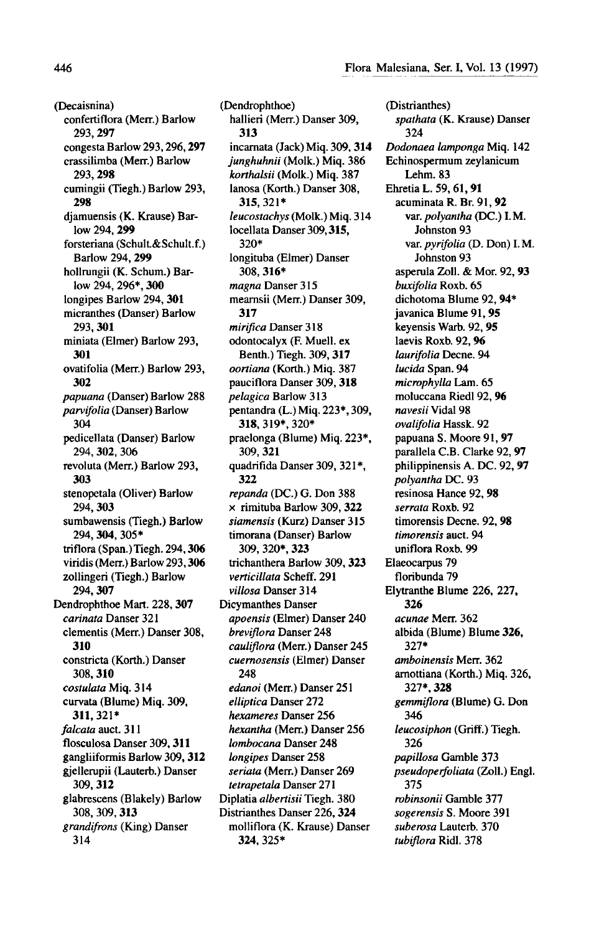(Decaisnina) confertiflora(Merr.) Barlow 293, 297 congesta Barlow 293,296, 297 crassilimba (Merr.) Barlow 293, 298 cumingii (Tiegh.) Barlow 293, 298 djamuensis (K. Krause) Barlow 294, 299 forsteriana (Schult&Schult.f.) Barlow 294, 299 hollrungii (K. Schum.) Barlow 294, 296\*, 300 longipes Barlow 294, <sup>301</sup> micranthes (Danser) Barlow 293, 301 miniata (Elmer) Barlow 293, 301 ovatifolia (Merr.) Barlow 293, 302 papuana (Danser) Barlow <sup>288</sup> parvifolia (Danser) Barlow 304 pedicellata (Danser) Barlow 294, 302, 306 revoluta (Merr.) Barlow 293, 303 stenopetala (Oliver) Barlow 294, 303 sumbawensis (Tiegh.) Barlow 294, 304. 305\* triflora (Span.)Tiegh.294, 306 viridis (Merr.) Barlow 293. 306 zollingeri (Tiegh.) Barlow 294, 307 Dendrophthoe Mart.228, 307 carinata Danser 321 dementis (Merr.) Danser 308, 310 constricta (Korth.) Danser 308, 310 costulata Miq. 314 curvata (Blume) Miq. 309, 311, 321\* falcata auct. 311 flosculosa Danser 309, 311 gangliiformis Barlow 309, 312 gjellerupii (Lauterb.) Danser 309, 312 glabrescens (Blakely) Barlow 308, 309, 313 grandifrons (King) Danser 314

(Dendrophthoe) hallieri (Merr.) Danser 309, 313 incarnata (Jack) Miq. 309, 314 junghuhnii (Molk.) Miq. 386 korthalsii (Molk.) Miq. 387 lanosa (Korth.) Danser 308, 315, 321\* leucostachys (Molk.) Miq. 314 locellata Danser 309,315, 320\* longituba (Elmer) Danser 308, 316\* magna Danser 315 mearnsii (Merr.) Danser 309, 317 mirifica Danser 318 odontocalyx (F. Muell. ex Benth.) Tiegh. 309, 317 oortiana (Korth.) Miq. 387 pauciflora Danser 309, 318 pelagica Barlow 313 pentandra (L.) Miq. 223\*, 309, 318,319\*, 320\* praelonga (Blume) Miq. 223\*, 309, 321 quadrifida Danser 309, 321\*, 322 repanda (DC.) G. Don 388 x rimituba Barlow 309, 322 siamensis (Kurz) Danser 315 timorana (Danser) Barlow 309, 320\*, 323 trichanthera Barlow 309, 323 verticillata Scheff. 291 villosa Danser 314 Dicymanthes Danser apoensis (Elmer) Danser 240 breviflora Danser 248 cauliflora (Merr.) Danser 245 cuernosensis (Elmer) Danser 248 edanoi (Merr.) Danser 251 elliptica Danser 272 hexameres Danser 256 hexantha (Merr.) Danser 256 lombocana Danser 248 longipes Danser 258 seriata (Merr.) Danser 269 tetrapetala Danser 271 Diplatia *albertisii* Tiegh. 380 Distrianthes Danser 226, 324 molliflora (K. Krause) Danser 324, 325\*

(Distrianthes) spathata (K. Krause) Danser 324 Dodonaea lampongaMiq. 142 Echinospermum zeylanicum Lehm. 83 Ehretia L. 59,61,91 acuminata R. Br. 91, 92 var. polyantha (DC.) I.M. Johnston 93 var. pyrifolia (D. Don) I.M. Johnston 93 asperula Zoll. & Mor. 92, 93 buxifolia Roxb. <sup>65</sup> dichotoma Blume 92, 94\* javanica Blume 91, 95 keyensis Warb. 92, 95 laevis Roxb. 92, 96 laurifolia Decne. 94 lucida Span. 94 microphylla Lam. 65 moluccana Riedl 92, 96 navesii Vidal 98 ovalifolia Hassk. 92 papuana S. Moore 91, 97 parallela C.B. Clarke 92, 97 philippinensis A. DC. 92, 97 polyantha DC. 93 resinosa Hance 92, 98 serrata Roxb. 92 timorensis Decne. 92, 98 timorensis auct. 94 uniflora Roxb. 99 Elaeocarpus 79 floribunda 79 Elytranthe Blume 226, 227, 326 acunae Merr. 362 albida (Blume) Blume 326, 327\* amboinensis Merr. 362 arnottiana (Korth.) Miq. 326, 327\*, 328 gemmiflora (Blume) G. Don 346 leucosiphon (Griff.) Tiegh. 326 papillosa Gamble 373 pseudoperfoliata (Zoll.) Engl. 375 robinsonii Gamble 377 sogerensis S. Moore 391 suberosa Lauterb. 370 tubiflora Ridl. 378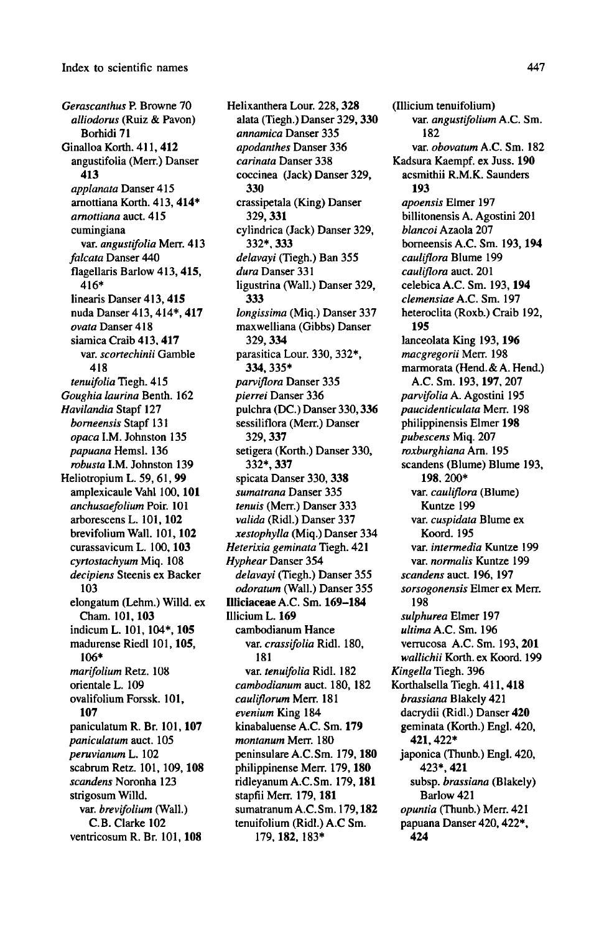Gerascanthus P. Browne 70 alliodorus (Ruiz & Pavon) Borhidi 71 Ginalloa Korth. 411, 412 angustifolia (Merr.) Danser 413 applanata Danser 415 arnottiana Korth. 413, 414\* amottiana auct. 415 cumingiana var. angustifolia Merr. 413 falcata Danser 440 flagellaris Barlow 413, 415, 416\* linearis Danser 413, 415 nuda Danser 413, 414\*, 417 ovata Danser 418 siamica Craib 413, 417 var. scortechinii Gamble 418 tenuifolia Tiegh. 415 Goughia laurina Benth. 162 Havilandia Stapf 127 borneensis Stapf <sup>131</sup> opaca I.M. Johnston <sup>135</sup> papuana Hemsl. 136 robusta I.M. Johnston 139 Heliotropium L. 59, 61, <sup>99</sup> amplexicaule Vahl 100, 101 anchusaefolium Poir. 101 arborescens L. 101, 102 brevifolium Wall. 101, 102 curassavicum L. 100, 103 cyrtostachyum Miq. 108 decipiens Steenis ex Backer 103 elongatum (Lehm.) Willd. ex Cham. 101, 103 indicumL. 101, 104\*, <sup>105</sup> madurense Riedl 101, 105, 106\* marifolium Retz. 108 orientale L. 109 ovalifolium Forssk. 101, 107 paniculatum R. Br. 101, 107 paniculatum auct. 105 .<br>peruvianum L. 102 scabrum Retz. 101, 109, 108 scandens Noronha 123 strigosum Willd. var. brevifolium (Wall.) C.B. Clarke 102 ventricosum R. Br. 101, 108

Helixanthera Lour. 228, 328 alata (Tiegh.) Danser 329,330 annamica Danser 335 apodanthes Danser 336 carinata Danser 338 coccinea (Jack) Danser 329, 330 crassipetala (King) Danser 329, 331 cylindrica (Jack) Danser 329, 332\*. 333 delavayi (Tiegh.) Ban 355 dura Danser 331 ligustrina (Wall.) Danser 329, 333 longissima (Miq.) Danser 337 maxwelliana (Gibbs) Danser 329, 334 parasitica Lour. 330, 332\*, 334, 335\* parviflora Danser 335 pierrei Danser 336 pulchra (DC.) Danser 330,336 sessiliflora (Merr.) Danser 329, 337 setigera (Korth.) Danser 330, 332\*, 337 spicata Danser 330, 338 sumatrana Danser 335 tenuis (Merr.) Danser 333 valida (Ridl.) Danser 337 xestophylla (Miq.) Danser 334 Heterixia geminata Tiegh. 421 Hyphear Danser 354 delavayi (Tiegh.) Danser 355 odoratum (Wall.) Danser 355 Illiciaceae A.C. Sm. 169-184 Illicium L. 169 cambodianum Hance var. *crassifolia* Ridl. 180, 181 var. tenuifolia Ridl. <sup>182</sup> cambodianum auct. 180, 182 cauliflorum Merr. 181 evenium King 184 kinabaluense A.C. Sm. 179 montanum Merr. 180 peninsulare A.C.Sm. 179, 180 philippinense Merr. 179,180 ridleyanum A.C.Sm. 179,181 stapfii Merr. 179, 181 sumatranumA.C.Sm. 179,182 tenuifolium (Ridl.) A.C Sm. 179, 182, 183\*

(Illicium tenuifolium) var. angustifolium A.C. Sm. 182 var. obovatum A.C. Sm. 182 Kadsura Kaempf. ex Juss. 190 acsmithii R.M.K. Saunders 193 apoensis Elmer 197 billitonensis A. Agostini <sup>201</sup> blancoi Azaola 207 borneensis A.C. Sm. 193, 194 cauliflora Blume 199 cauliflora auct. 201 celebicaA.C. Sm. 193, 194 clemensiae A.C. Sm. 197 heteroclita (Roxb.) Craib 192, 195 lanceolata King 193, 196 macgregorii Merr. <sup>198</sup> marmorata (Hend. & A. Hend.) A.C. Sm. 193, 197, 207 parvifolia A.Agostini <sup>195</sup> paucidenticulata Merr. 198 philippinensis Elmer 198 pubescens Miq. 207 roxburghiana Arn. 195 scandens (Blume) Blume 193, 198, 200\* var. *cauliflora* (Blume) Kuntze 199 var. *cuspidata* Blum<mark>e ex</mark> Koord. 195 var. *intermedia* Kuntze 199 var. normalis Kuntze 199 scandens auct. 196, 197 sorsogonensis Elmer ex Merr. 198 sulphurea Elmer 197 ultima A.C. Sm. 196 verrucosa A.C. Sm. 193, 201 wallichii Korth. ex Koord. 199 Kingella Tiegh. 396 Korthalsella Tiegh. 411, 418 brassiana Blakely 421 dacrydii (Ridl.) Danser 420 geminata(Korth.) Engl. 420, 421, 422\* japonica (Thunb.) Engl. 420, 423\*, 421 subsp. brassiana (Blakely) Barlow 421 opuntia (Thunb.) Merr. 421 papuana Danser 420,422\*, 424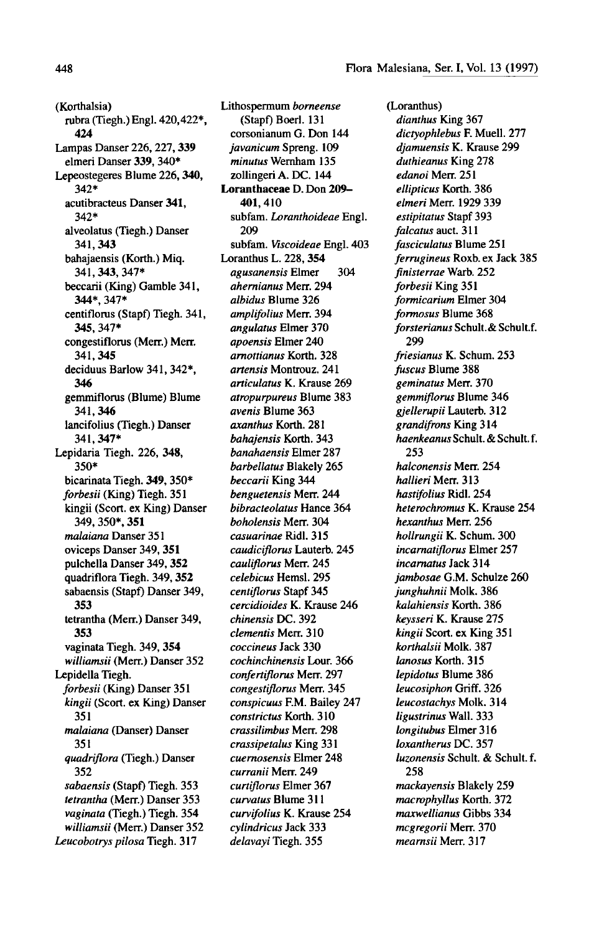(Korthalsia) rubra (Tiegh.) Engl. 420,422\*, 424 Lampas Danser 226, 227, 339 elmeri Danser 339, 340\* Lepeostegeres Blume 226, 340, 342\* acutibracteus Danser 341, 342\* alveolatus (Tiegh.) Danser 341,343 bahajaensis (Korth.) Miq. 341,343, 347\* beccarii (King) Gamble 341, 344\*, 347\* centiflorus (Stapf) Tiegh. 341, 345, 347\* congestiflorus (Merr.) Merr. 341.345 deciduus Barlow 341, 342\*, 346 gemmiflorus (Blume) Blume 341.346 lancifolius (Tiegh.) Danser 341,347\* Lepidaria Tiegh. 226, 348, 350\* bicarinata Tiegh. 349, 350\* forbesii (King) Tiegh. 351 kingii (Scort. ex King) Danser 349, 350\*, 351 malaiana Danser 351 oviceps Danser 349, 351 pulchella Danser 349, 352 quadriflora Tiegh. 349. 352 sabaensis (Stapf) Danser 349, 353 tetrantha (Merr.) Danser 349, 353 vaginata Tiegh. 349, 354 williamsii (Merr.) Danser 352 Lepidella Tiegh. forbesii (King) Danser 351 kingii (Scort. ex King) Danser 351 malaiana (Danser) Danser 351 quadriflora (Tiegh.) Danser 352 sabaensis (Stapf) Tiegh. 353 tetrantha (Merr.) Danser 353 vaginata (Tiegh.) Tiegh. 354 williamsii (Merr.) Danser 352 Leucohotrys pilosa Tiegh. 317

Lithospermum borneense (Stapf) Boerl. <sup>131</sup> corsonianum G. Don 144 javanicum Spreng. 109 minutus Wernham 135 zollingeri A. DC. 144 Loranthaceae D. Don 209- 401,410 subfam. Loranthoideae Engl. 209 subfam. Viscoideae Engl. 403 Loranthus L. 228, 354 agusanensis Elmer 304 ahernianus Merr. 294 albidus Blume 326 amplifolius Merr. 394 angulatus Elmer 370 apoensis Elmer 240 arnottianus Korth. 328 artensis Montrouz. 241 articulatus K. Krause 269 atropurpureus Blume 383 avenis Blume 363 axanthus Korth. 281 bahajensis Korth. 343 banahaensis Elmer 287 barbellatus Blakely 265 beccarii King 344 benguetensis Merr. 244 bibracteolatus Hance 364 boholensis Merr. 304 casuarinae Ridl. 315 caudiciflorus Lauterb. 245 cauliflorus Merr. 245 celebicus Hemsl. 295 centiflorus Stapf 345 cercidioides K. Krause 246 chinensis DC. 392 dementis Merr. 310 coccineus Jack 330 cochinchinensis Lour. 366 confertiflorus Merr. 297 congestiflorus Merr. 345 conspicuus F.M. Bailey 247 constrictus Korth. 310 crassilimbus Merr. 298 crassipetalus King 331 cuernosensis Elmer 248 curranii Merr. 249 curtiflorus Elmer 367 curvatus Blume 311 curvifolius K. Krause 254 cylindricus Jack 333 delavayi Tiegh. 355

(Loranthus) dianthus King 367 dictyophlebus F. Muell. 277 djamuensis K. Krause 299 duthieanus King 278 edanoi Merr. 251 ellipticus Korth. 386 elmeri Merr. 1929 339 estipitatus Stapf 393 falcatus auct. 311 fasciculatus Blume 251 ferrugineus Roxb. ex Jack 385 finisterrae Warb. 252 forbesii King 351 formicarium Elmer 304 formosus Blume 368 forsterianus Schult.& Schult.f. 299 friesianus K. Schum. 253 fuscus Blume 388 geminatus Merr. 370 gemmiflorus Blume 346 gjellerupii Lauterb. 312 grandifrons King 314 haenkeanus Schult. & Schult. f. 253 halconensis Merr. 254 hallieri Merr. 313 hastifolius Ridl. 254 heterochromus K. Krause 254 hexanthus Merr. 256 hollrungii K. Schum. 300 incarnatiflorus Elmer 257 incarnatus Jack 314 jambosae G.M. Schulze 260 junghuhnii Molk. 386 kalahiensis Korth. 386 keysseri K. Krause 275 kingii Scort. ex King 351 korthalsii Molk. 387 lanosus Korth. 315 lepidotus Blume 386 leucosiphon Griff. 326 leucostachys Molk. 314 ligustrinus Wall. 333 longitubus Elmer 316 loxantherus DC. 357 luzonensis Schult. & Schult. f. 258 mackayensis Blakely 259 macrophyllus Korth. 372 maxwellianus Gibbs 334 mcgregorii Merr. 370 mearnsii Merr. 317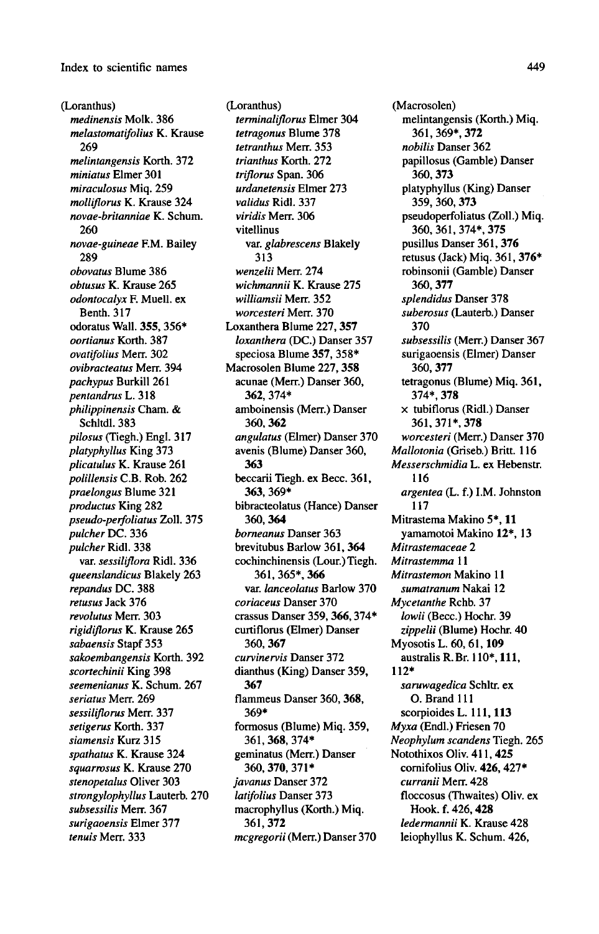## Index to scientific names and the set of the set of the set of the set of the set of the set of the set of the set of the set of the set of the set of the set of the set of the set of the set of the set of the set of the s

(Loranthus) medinensis Molk. 386 melastomatifolius K. Krause 269 melintangensis Korth. 372 miniatus Elmer 301 miraculosus Miq. 259 molliflorus K. Krause 324 novae-britanniae K. Schum. 260 novae-guineae EM. Bailey 289 obovatus Blume 386 obtusus K. Krause 265 odontocalyx F. Muell. ex Benth. 317 odoratus Wall. 355, 356\* oortianus Korth. 387 ovatifolius Merr. 302 ovibracteatus Merr. 394 pachypus Burkill 261 pentandrus L. <sup>318</sup> philippinensis Cham. & Schltdl. 383 pilosus (Tiegh.) Engl. 317 platyphyllus King 373 plicatulus K. Krause 261 polillensis C.B. Rob. 262 praelongus Blume 321 productus King 282 pseudo-perfoliatus Zoll. 375 pulcher DC. 336 pulcher Ridl. 338 var. *sessiliflora* Ridl. 336 queenslandicus Blakely 263 repandus DC. 388 retusus Jack 376 revolutus Merr. 303 rigidiflorus K. Krause 265 sabaensis Stapf 353 sakoembangensis Korth. 392 scortechinii King 398 seemenianus K. Schum. 267 seriatus Merr. 269 sessiliflorus Merr. 337 setigerus Korth. 337 siamensis Kurz 315 spathatus K. Krause 324 squarrosus K. Krause 270 stenopetalus Oliver 303 strongylophyllus Lauterb. 270 subsessilis Merr. 367 surigaoensis Elmer 377 tenuis Merr. 333

(Loranthus) terminaliflorus Elmer 304 tetragonus Blume 378 tetranthus Merr. 353 trianthus Korth. 272 triflorus Span. 306 urdanetensis Elmer 273 validus Ridl. 337 viridis Merr. 306 vitellinus var. glabrescens Blakely 313 wenzelii Merr. 274 wichmannii K. Krause 275 williamsii Merr. 352 worcesteri Merr. 370 Loxanthera Blume 227,357 loxanthera (DC.) Danser 357 speciosa Blume 357, 358\* Macrosolen Blume 227, 358 acunae(Merr.) Danser 360, 362, 374\* amboinensis (Merr.) Danser 360, 362 angulatus (Elmer) Danser 370 avenis (Blume) Danser 360, 363 beccarii Tiegh. ex Becc. 361, 363, 369\* bibracteolatus (Hance) Danser 360, 364 borneanus Danser 363 brevitubus Barlow 361, 364 cochinchinensis (Lour.) Tiegh. 361,365\*, 366 var. lanceolatus Barlow 370 coriaceus Danser 370 crassus Danser 359, 366,374\* curtiflorus (Elmer) Danser 360, 367 curvinervis Danser 372 dianthus (King) Danser 359, 367 flammeus Danser 360, 368, 369\* formosus (Blume) Miq. 359, 361,368, 374\* geminatus (Merr.) Danser 360, 370, 371\* javanus Danser 372 latifolius Danser 373 macrophyllus (Korth.) Miq. 361,372 mcgregorii (Merr.) Danser 370

(Macrosolen) melintangensis (Korth.) Miq. 361, 369\*, 372 nobilis Danser 362 papillosus (Gamble) Danser 360, 373 platyphyllus (King) Danser 359, 360, 373 pseudoperfoliatus (Zoll.) Miq. 360, 361, 374\*, 375 pusillus Danser 361, 376 retusus (Jack) Miq. 361, 376\* robinsonii (Gamble) Danser 360, 377 splendidus Danser 378 suberosus (Lauterb.) Danser 370 subsessilis (Merr.) Danser 367 surigaoensis (Elmer) Danser 360, 377 tetragonus (Blume) Miq. 361, 374\*, 378 x tubiflorus (Ridl.) Danser 361,371\*, 378 worcesteri (Merr.) Danser 370 Mallotonia (Griseb.) Britt. 116 Messerschmidia L. ex Hebenstr. 116 argentea (L. f.) I.M. Johnston 117 Mitrastema Makino 5\*, 11 yamamotoi Makino 12\*, <sup>13</sup> Mitrastemaceae 2 Mitrastemma 11 Mitrastemon Makino <sup>11</sup> sumatranum Nakai 12 Mycetanthe Rchb. 37 lowii (Becc.) Hochr. <sup>39</sup> zippelii (Blume) Hochr. 40 Myosotis L. 60, 61, <sup>109</sup> australis R.Br. 110\*, 111, 112\* saruwagedica Schltr. ex O. Brand 111 scorpioides L. 111, 113 Myxa (Endl.) Friesen 70 Neophylumscandens Tiegh. 265 Notothixos Oliv. 411, 425 cornifolius Oliv. 426, 427\* curranii Merr. 428 floccosus (Thwaites) Oliv. ex Hook. f.426, <sup>428</sup> ledermannii K. Krause 428 leiophyllus K. Schum. 426,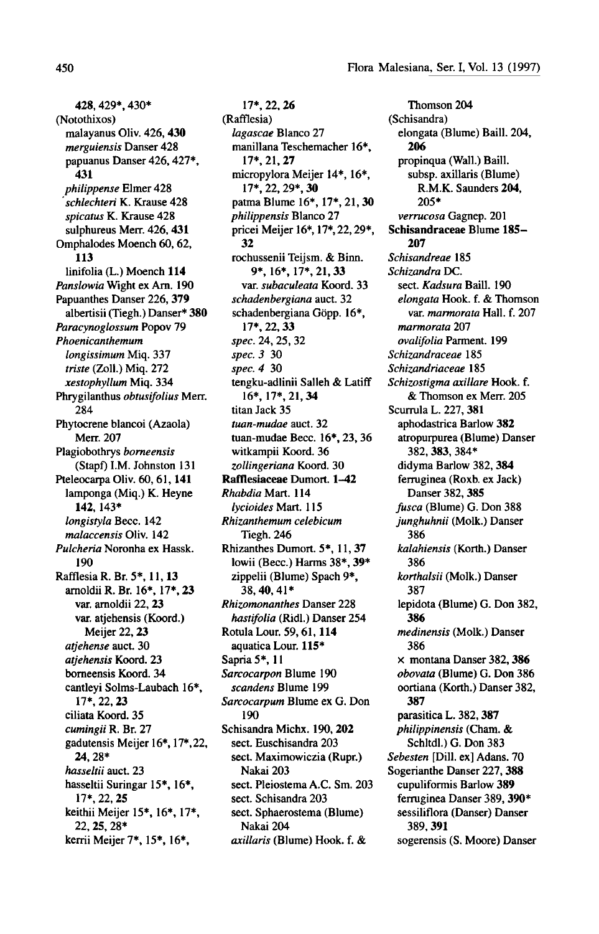428, 429\*, 430\* (Notothixos) malayanus Oliv. 426, 430 merguiensis Danser 428 papuanus Danser 426,427\*, 431 philippense Elmer 428 schlechteri K. Krause 428 spicatus K. Krause 428 sulphureus Merr. 426, 431 Omphalodes Moench 60, 62, 113 linifolia (L.) Moench 114 Panslowia Wight ex Arn. 190 Papuanthes Danser 226, 379 albertisii (Tiegh.) Danser\* 380 Paracynoglossum Popov 79 Phoenicanthemum longissimum Miq. 337 triste (Zoll.) Miq. 272 xestophyllum Miq. 334 Phrygilanthus obtusifolius Merr. 284 Phytocrene blancoi (Azaola) Merr. 207 Plagiobothrys borneensis (Stapf) I.M. Johnston <sup>131</sup> Pteleocarpa Oliv. 60, 61, <sup>141</sup> lamponga (Miq.) K. Heyne 142, 143\* longistyla Becc. 142 malaccensis Oliv. 142 Pulcheria Noronha ex Hassk. 190 Rafflesia R. Br. 5\*, 11, 13 arnoldii R. Br. 16\*, 17\*, 23 var. arnoldii 22, 23 var. atjehensis (Koord.) Meijer 22, 23 atjehense auct. 30 atiehensis Koord. 23 borneensis Koord. 34 cantleyi Solms-Laubach 16\*, 17\*, 22, 23 ciliata Koord. 35 cumingii R. Br. 27 gadutensis Meijer 16\*, 17\*, 22, 24, 28\* hasseltii auct. 23 hasseltii Suringar 15\*, 16\*, 17\*, 22, 25 keithii Meijer 15\*, 16\*, 17\*, 22, 25. 28\* kerrii Meijer 7\*, 15\*, 16\*,

17\*, 22, 26 (Rafflesia) lagascae Blanco 27 manillana Teschemacher 16\*, 17\*, 21,27 micropylora Meijer 14\*, 16\*, 17\*, 22, 29\*, 30 patina Blume 16\*, 17\*, 21, 30 philippensis Blanco 27 pricei Meijer 16\*, 17\*, 22,29\*, 32 rochussenii Teijsm. & Binn. 9\*, 16\*, 17\*, 21, 33 var. subaculeata Koord. 33 schadenbergiana auct. 32 schadenbergiana Göpp. 16\*, 17\*, 22,33 spec. 24, 25, 32 spec. 3 30 spec. <sup>4</sup> <sup>30</sup> tengku-adlinii Salleh & Latiff 16\*, 17\*, 21,34 titan Jack 35 tuan-mudae auct. 32 tuan-mudae Becc. 16\*, 23, 36 witkampii Koord. 36 zollingeriana Koord. 30 Rafflesiaceae Dumort. 1-42 Rhabdia Mart. 114 lycioides Mart. <sup>115</sup> Rhizanthemum celebicum Tiegh. 246 Rhizanthes Dumort. 5\*, 11, 37 lowii (Becc.) Harms 38\*, 39\* zippelii (Blume) Spach 9\*, 38,40,41\* Rhizomonanthes Danser 228 hastifolia (Ridl.) Danser 254 Rotula Lour. 59, 61, 114 aquatica Lour. 115\* Sapria 5\*, <sup>11</sup> Sarcocarpon Blume <sup>190</sup> scandens Blume 199 Sarcocarpum Blume ex G. Don 190 Schisandra Michx. 190, 202 sect. Euschisandra 203 sect. Maximowiczia (Rupr.) Nakai 203 sect. Pleiostema A.C. Sm. 203 sect. Schisandra 203 sect. Sphaerostema (Blume) Nakai 204 axillaris (Blume) Hook. f. &

Thomson 204 (Schisandra) elongata (Blume) Baill. 204, 206 propinqua (Wall.) Baill. subsp. axillaris (Blume) R.M.K. Saunders 204, 205\* verrucosa Gagnep. 201 Schisandraceae Blume 185- 207 Schisandreae 185 Schizandra DC. sect. *Kadsura* Baill. 190 elongata Hook. f. & Thomsor var. *marmorata* Hall. f. 207 marmorata 207 ovalifolia Parment. 199 Schizandraceae 185 Schizandriaceae 185 Schizostigma axillare Hook. f. & Thomson ex Merr. 205 Scurrula L. 227, 381 aphodastrica Barlow 382 atropurpurea (Blume) Danser 382, 383, 384\* didyma Barlow 382, 384 ferruginea (Roxb. ex Jack) Danser 382, 385 fusca (Blume) G. Don 388 junghuhnii (Molk.) Danser 386 kalahiensis (Korth.) Danser 386 korthalsii (Molk.) Danser 387 lepidota (Blume) G. Don 382, 386 medinensis (Molk.) Danser 386 x montana Danser 382, 386 obovata (Blume) G. Don 386 oortiana (Korth.) Danser 382, 387 parasitica L. 382, 387 philippinensis (Cham. & Schltdl.) G. Don 383 Sebesten [Dill, ex] Adans. 70 Sogerianthe Danser 227, 388 cupuliformis Barlow 389 ferruginea Danser 389, 390\* sessiliflora (Danser) Danser 389, 391 sogerensis (S. Moore) Danser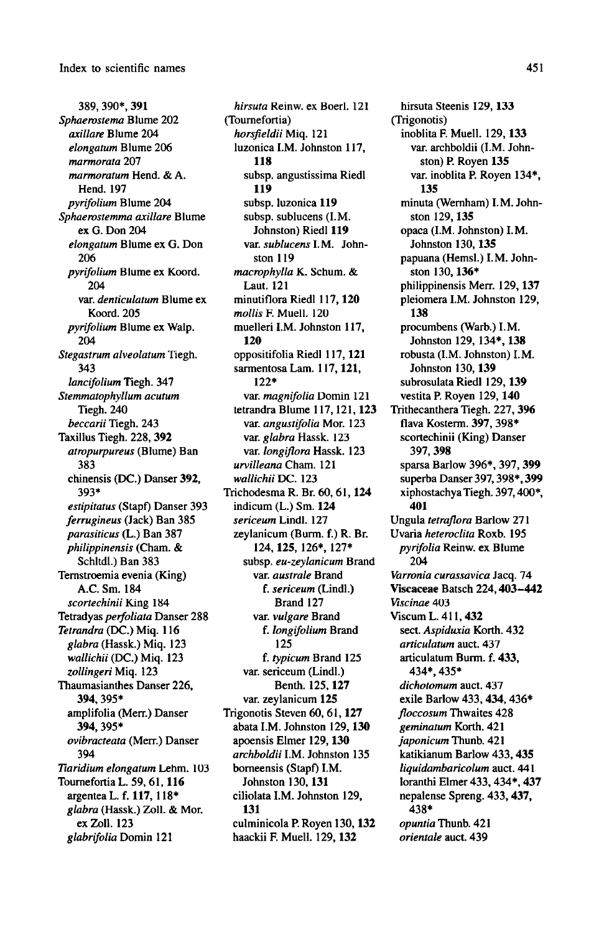389, 390\*, 391 Sphaerostema Blume 202 axillare Blume 204 elongatum Blume 206 marmorata 207 marmoratum Hend. & A. Hend. 197 pyrifolium Blume 204 Sphaerostemma axillare Blume exG. Don 204 elongatum Blume ex G. Don 206 pyrifolium Blume ex Koord. 204 var. denticulatum Blume ex Koord. 205 pyrifolium Blume ex Walp. 204 Stegastrum alveolatum Tiegh. 343 lancifolium Tiegh. 347 Stemmatophyllum acutum Tiegh. 240 beccarii Tiegh. 243 Taxillus Tiegh. 228, 392 atropurpureus (Blume) Ban 383 chinensis (DC.) Danser 392, 393\* estipitatus (Stapf) Danser 393 ferrugineus (Jack) Ban 385 parasiticus (L.) Ban 387 philippinensis (Cham. & Schltdl.) Ban 383 Ternstroemia evenia (King) A.C. Sm. 184 scortechinii King 184 Tetradyas *perfoliata* Danser 288 Tetrandra (DC.) Miq. 116 glabra(Hassk.) Miq. 123 wallichii (DC.) Miq. <sup>123</sup> zollingeri Miq. 123 Thaumasianthes Danser 226, 394, 395\* amplifolia (Merr.) Danser 394, 395\* ovibracteata (Merr.) Danser 394 Tiaridium elongatum Lehm. 103 Tournefortia L. 59, 61, 116 argentea L. f. 117, 118\* glabra (Hassk.) Zoll. & Mor. ex Zoll. <sup>123</sup> glabrifolia Domin <sup>121</sup>

hirsuta Reinw. ex Boerl. <sup>121</sup> (Tournefortia) horsfieldii Miq. <sup>121</sup> luzonica I.M. Johnston 117, 118 subsp. angustissima Riedl 119 subsp. luzonica 119 subsp. sublucens (I.M. Johnston) Riedl 119 var. sublucens I.M. Johnston 119 macrophylla K. Schum. & Laut. 121 minutiflora Riedl 117, 120 mollis F. Muell. 120 muelleri I.M. Johnston 117, 120 oppositifolia Riedl 117, <sup>121</sup> sarmentosa Lam. 117, 121, 122\* var. magnifolia Domin 121 tetrandra Blume 117,121, 123 var. angustifolia Mor. 123 var. glabra Hassk. 123 var. longiflora Hassk. 123 urvilleana Cham. 121 wallichii DC. 123 Trichodesma R. Br. 60, 61, 124 indicum (L.) Sm. 124 sericeum Lindl. 127 zeylanicum (Burm. f.) R. Br. 124, 125, 126\*, 127\* subsp. eu-zeylanicum Brand var. *australe* Brand f. sericeum (Lindl.) Brand 127 var. *vulgare* Brand f. longifolium Brand 125 f. typicum Brand 125 var. sericeum (Lindl.) Benth. 125, 127 var. zeylanicum 125 Trigonotis Steven 60, 61, 127 abata I.M. Johnston 129, 130 apoensis Elmer 129, 130 archboldii I.M. Johnston 135 borneensis (Stapf) I.M. Johnston 130, 131 ciliolata I.M. Johnston 129, 131 culminicola P. Royen 130, 132 haackii F. Muell. 129,132

hirsuta Steenis 129, 133 (Trigonotis) inoblita F. Muell. 129, 133 var. archboldii (I.M. Johnston) P. Royen 135 var. inoblita P. Royen 134\*, 135 minuta (Wernham) I.M. Johnston 129, 135 opaca (I.M. Johnston) I.M. Johnston 130, 135 papuana (Hemsl.) I.M. Johnston 130, 136\* philippinensis Merr. 129, 137 pleiomera I.M. Johnston 129, 138 procumbens (Warb.) I.M. Johnston 129, 134\*, 138 robusta (I.M. Johnston) I.M. Johnston 130, 139 subrosulata Riedl 129, 139 vestita P. Royen 129, 140 Trithecanthera Tiegh. 227, 396 flava Kosterm. 397, 398\* scortechinii (King) Danser 397, 398 sparsa Barlow 396\*, 397, 399 superba Danser 397,398\*, 399 xiphostachyaTiegh.397,400\*, 401 Ungula tetraflora Barlow 271 Uvaria heteroclita Roxb. 195 pyrifolia Reinw. ex Blume 204 Varronia curassavica Jacq. 74 Viscaceae Batsch 224, 403-442 Viscinae 403 Viscum L. 411,432 sect. Aspiduxia Korth. 432 articulatum auct. 437 articulatum Burm. f. 433, 434\*, 435\* dichotomum auct. 437 exile Barlow 433, 434, 436\* floccosum Thwaites 428 geminatum Korth. 421 japonicum Thunb. 421 katikianum Barlow 433, 435 liquidambaricolum auct. 441 loranthi Elmer 433, 434\*, 437 nepalense Spreng. 433, 437, 438\* opuntia Thunb. 421 orientale auct. 439